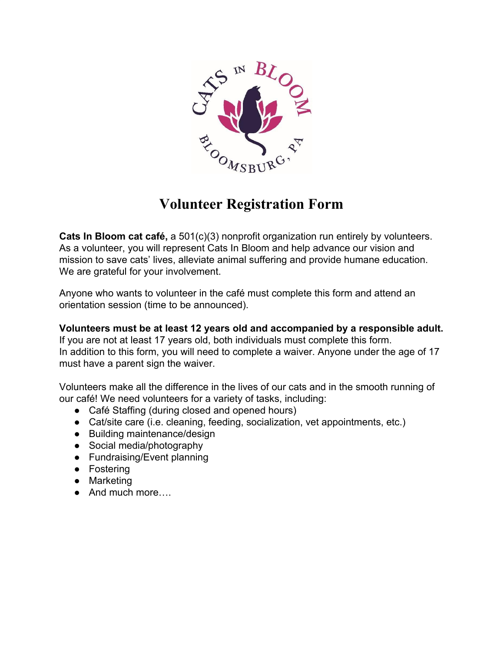

## **Volunteer Registration Form**

**Cats In Bloom cat café, a** 501(c)(3) nonprofit organization run entirely by volunteers. As a volunteer, you will represent Cats In Bloom and help advance our vision and mission to save cats' lives, alleviate animal suffering and provide humane education. We are grateful for your involvement.

Anyone who wants to volunteer in the café must complete this form and attend an orientation session (time to be announced).

**Volunteers must be at least 12 years old and accompanied by a responsible adult.** If you are not at least 17 years old, both individuals must complete this form. In addition to this form, you will need to complete a waiver. Anyone under the age of 17 must have a parent sign the waiver.

Volunteers make all the difference in the lives of our cats and in the smooth running of our café! We need volunteers for a variety of tasks, including:

- Café Staffing (during closed and opened hours)
- Cat/site care (i.e. cleaning, feeding, socialization, vet appointments, etc.)
- Building maintenance/design
- Social media/photography
- Fundraising/Event planning
- Fostering
- Marketing
- And much more….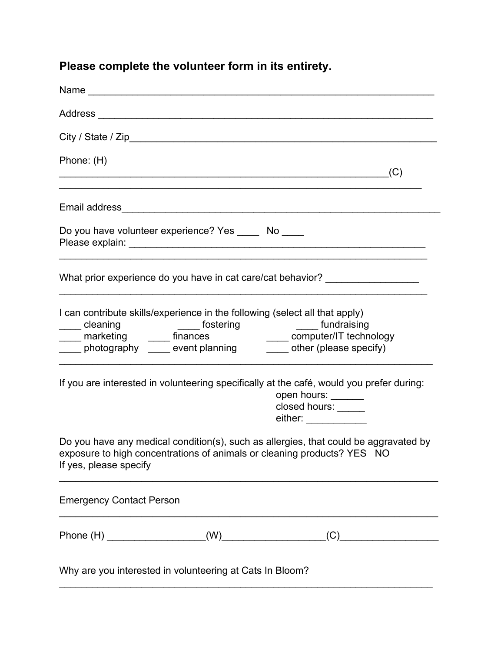## **Please complete the volunteer form in its entirety.**

| Phone: (H)                                               | (C)                                                                                                                                                                                                            |
|----------------------------------------------------------|----------------------------------------------------------------------------------------------------------------------------------------------------------------------------------------------------------------|
|                                                          |                                                                                                                                                                                                                |
| Do you have volunteer experience? Yes _____ No ____      |                                                                                                                                                                                                                |
|                                                          | What prior experience do you have in cat care/cat behavior? ____________________                                                                                                                               |
|                                                          | I can contribute skills/experience in the following (select all that apply)<br>cleaning<br>marketing<br>photography<br>event planning<br>event planning<br>and ther (please specify)<br>other (please specify) |
|                                                          | If you are interested in volunteering specifically at the café, would you prefer during:<br>open hours: ______<br>closed hours: _____<br>either: ____________                                                  |
| If yes, please specify                                   | Do you have any medical condition(s), such as allergies, that could be aggravated by<br>exposure to high concentrations of animals or cleaning products? YES NO                                                |
| <b>Emergency Contact Person</b>                          |                                                                                                                                                                                                                |
|                                                          |                                                                                                                                                                                                                |
| Why are you interested in volunteering at Cats In Bloom? |                                                                                                                                                                                                                |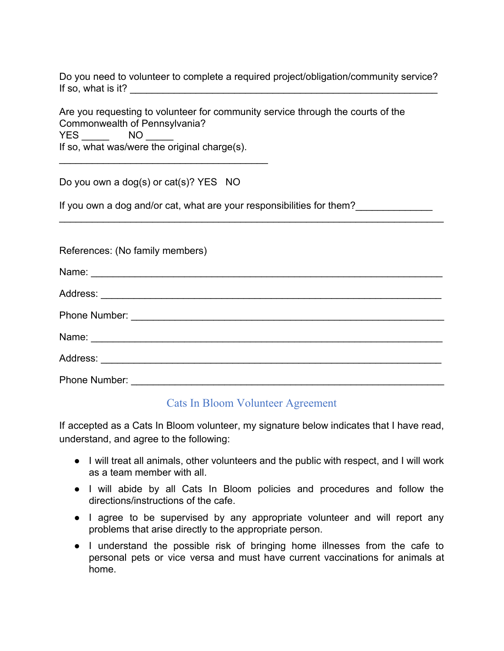Do you need to volunteer to complete a required project/obligation/community service? If so, what is it?  $\Box$ 

Are you requesting to volunteer for community service through the courts of the Commonwealth of Pennsylvania? YES NO If so, what was/were the original charge(s).

Do you own a dog(s) or cat(s)? YES NO

\_\_\_\_\_\_\_\_\_\_\_\_\_\_\_\_\_\_\_\_\_\_\_\_\_\_\_\_\_\_\_\_\_\_\_\_\_\_

If you own a dog and/or cat, what are your responsibilities for them?

| References: (No family members) |
|---------------------------------|
|                                 |
|                                 |
|                                 |
|                                 |
|                                 |
| Phone Number:                   |

\_\_\_\_\_\_\_\_\_\_\_\_\_\_\_\_\_\_\_\_\_\_\_\_\_\_\_\_\_\_\_\_\_\_\_\_\_\_\_\_\_\_\_\_\_\_\_\_\_\_\_\_\_\_\_\_\_\_\_\_\_\_\_\_\_\_\_\_\_\_

## Cats In Bloom Volunteer Agreement

If accepted as a Cats In Bloom volunteer, my signature below indicates that I have read, understand, and agree to the following:

- I will treat all animals, other volunteers and the public with respect, and I will work as a team member with all.
- I will abide by all Cats In Bloom policies and procedures and follow the directions/instructions of the cafe.
- I agree to be supervised by any appropriate volunteer and will report any problems that arise directly to the appropriate person.
- I understand the possible risk of bringing home illnesses from the cafe to personal pets or vice versa and must have current vaccinations for animals at home.